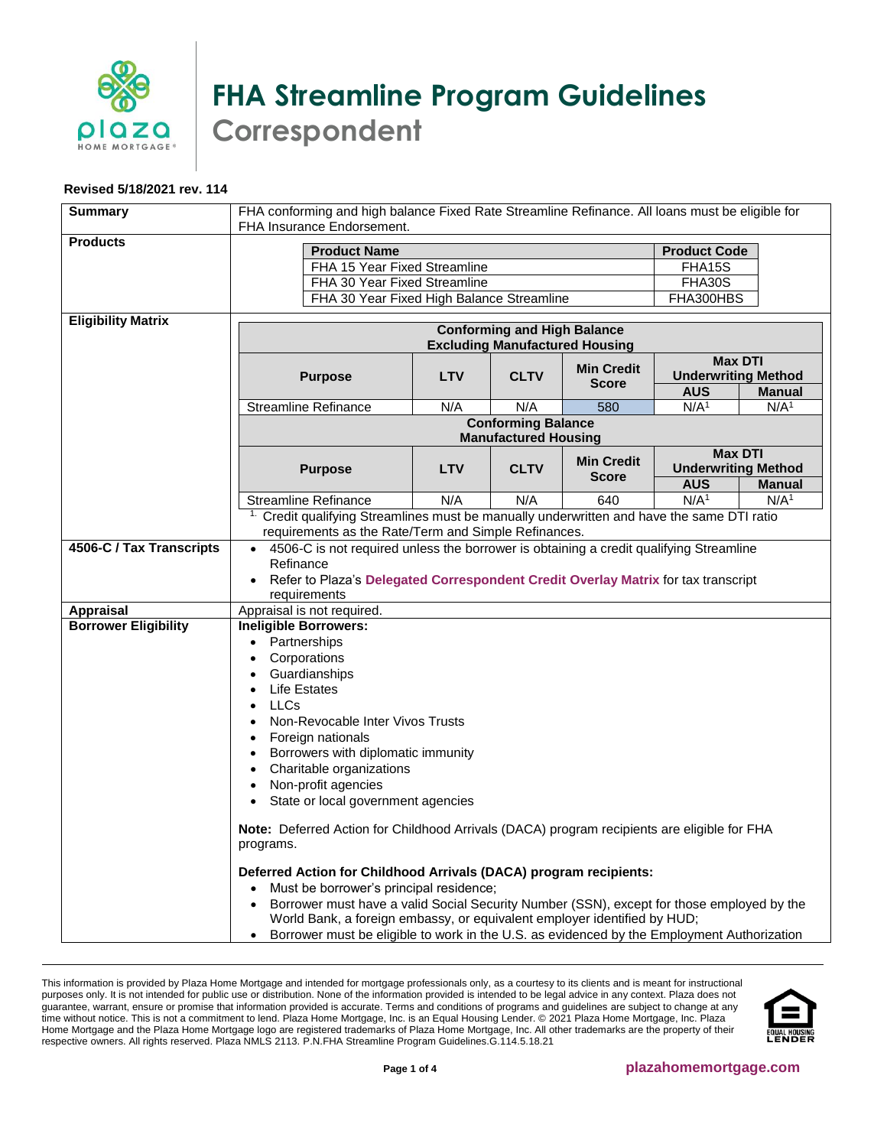

## **FHA Streamline Program Guidelines Correspondent**

## **Revised 5/18/2021 rev. 114**

| <b>Summary</b>              | FHA conforming and high balance Fixed Rate Streamline Refinance. All loans must be eligible for<br>FHA Insurance Endorsement.                                                                                                                                                                                                                                                                                 |                                                          |             |                                   |                  |                                                               |  |  |
|-----------------------------|---------------------------------------------------------------------------------------------------------------------------------------------------------------------------------------------------------------------------------------------------------------------------------------------------------------------------------------------------------------------------------------------------------------|----------------------------------------------------------|-------------|-----------------------------------|------------------|---------------------------------------------------------------|--|--|
| <b>Products</b>             | <b>Product Name</b><br><b>Product Code</b>                                                                                                                                                                                                                                                                                                                                                                    |                                                          |             |                                   |                  |                                                               |  |  |
|                             | FHA 15 Year Fixed Streamline                                                                                                                                                                                                                                                                                                                                                                                  | FHA15S<br>FHA30S                                         |             |                                   |                  |                                                               |  |  |
|                             |                                                                                                                                                                                                                                                                                                                                                                                                               | FHA 30 Year Fixed Streamline                             |             |                                   |                  |                                                               |  |  |
|                             | FHA 30 Year Fixed High Balance Streamline                                                                                                                                                                                                                                                                                                                                                                     |                                                          |             |                                   | FHA300HBS        |                                                               |  |  |
| <b>Eligibility Matrix</b>   | <b>Conforming and High Balance</b><br><b>Excluding Manufactured Housing</b>                                                                                                                                                                                                                                                                                                                                   |                                                          |             |                                   |                  |                                                               |  |  |
|                             | <b>Purpose</b>                                                                                                                                                                                                                                                                                                                                                                                                | <b>LTV</b>                                               | <b>CLTV</b> | <b>Min Credit</b><br><b>Score</b> | <b>AUS</b>       | <b>Max DTI</b><br><b>Underwriting Method</b><br><b>Manual</b> |  |  |
|                             | <b>Streamline Refinance</b>                                                                                                                                                                                                                                                                                                                                                                                   | N/A                                                      | N/A         | 580                               | N/A <sup>1</sup> | N/A <sup>1</sup>                                              |  |  |
|                             |                                                                                                                                                                                                                                                                                                                                                                                                               | <b>Conforming Balance</b><br><b>Manufactured Housing</b> |             |                                   |                  |                                                               |  |  |
|                             | <b>Purpose</b>                                                                                                                                                                                                                                                                                                                                                                                                | <b>LTV</b>                                               | <b>CLTV</b> | <b>Min Credit</b><br><b>Score</b> |                  | <b>Max DTI</b><br><b>Underwriting Method</b>                  |  |  |
|                             |                                                                                                                                                                                                                                                                                                                                                                                                               |                                                          |             |                                   | <b>AUS</b>       | <b>Manual</b>                                                 |  |  |
|                             | <b>Streamline Refinance</b>                                                                                                                                                                                                                                                                                                                                                                                   | N/A                                                      | N/A         | 640                               | N/A <sup>1</sup> | N/A <sup>1</sup>                                              |  |  |
|                             | <sup>1.</sup> Credit qualifying Streamlines must be manually underwritten and have the same DTI ratio<br>requirements as the Rate/Term and Simple Refinances.                                                                                                                                                                                                                                                 |                                                          |             |                                   |                  |                                                               |  |  |
| <b>Appraisal</b>            | 4506-C is not required unless the borrower is obtaining a credit qualifying Streamline<br>Refinance<br>Refer to Plaza's Delegated Correspondent Credit Overlay Matrix for tax transcript<br>requirements                                                                                                                                                                                                      |                                                          |             |                                   |                  |                                                               |  |  |
| <b>Borrower Eligibility</b> | Appraisal is not required.<br><b>Ineligible Borrowers:</b>                                                                                                                                                                                                                                                                                                                                                    |                                                          |             |                                   |                  |                                                               |  |  |
|                             | Partnerships<br>$\bullet$<br>Corporations<br>$\bullet$<br>Guardianships<br>$\bullet$<br><b>Life Estates</b><br>$\bullet$<br><b>LLCs</b><br>$\bullet$<br>Non-Revocable Inter Vivos Trusts<br>$\bullet$<br>Foreign nationals<br>Borrowers with diplomatic immunity<br>$\bullet$<br>Charitable organizations<br>$\bullet$<br>Non-profit agencies<br>State or local government agencies<br>$\bullet$              |                                                          |             |                                   |                  |                                                               |  |  |
|                             | Note: Deferred Action for Childhood Arrivals (DACA) program recipients are eligible for FHA<br>programs.                                                                                                                                                                                                                                                                                                      |                                                          |             |                                   |                  |                                                               |  |  |
|                             | Deferred Action for Childhood Arrivals (DACA) program recipients:<br>Must be borrower's principal residence;<br>$\bullet$<br>Borrower must have a valid Social Security Number (SSN), except for those employed by the<br>World Bank, a foreign embassy, or equivalent employer identified by HUD;<br>Borrower must be eligible to work in the U.S. as evidenced by the Employment Authorization<br>$\bullet$ |                                                          |             |                                   |                  |                                                               |  |  |

This information is provided by Plaza Home Mortgage and intended for mortgage professionals only, as a courtesy to its clients and is meant for instructional purposes only. It is not intended for public use or distribution. None of the information provided is intended to be legal advice in any context. Plaza does not guarantee, warrant, ensure or promise that information provided is accurate. Terms and conditions of programs and guidelines are subject to change at any time without notice. This is not a commitment to lend. Plaza Home Mortgage, Inc. is an Equal Housing Lender. © 2021 Plaza Home Mortgage, Inc. Plaza Home Mortgage and the Plaza Home Mortgage logo are registered trademarks of Plaza Home Mortgage, Inc. All other trademarks are the property of their respective owners. All rights reserved. Plaza NMLS 2113. P.N.FHA Streamline Program Guidelines.G.114.5.18.21

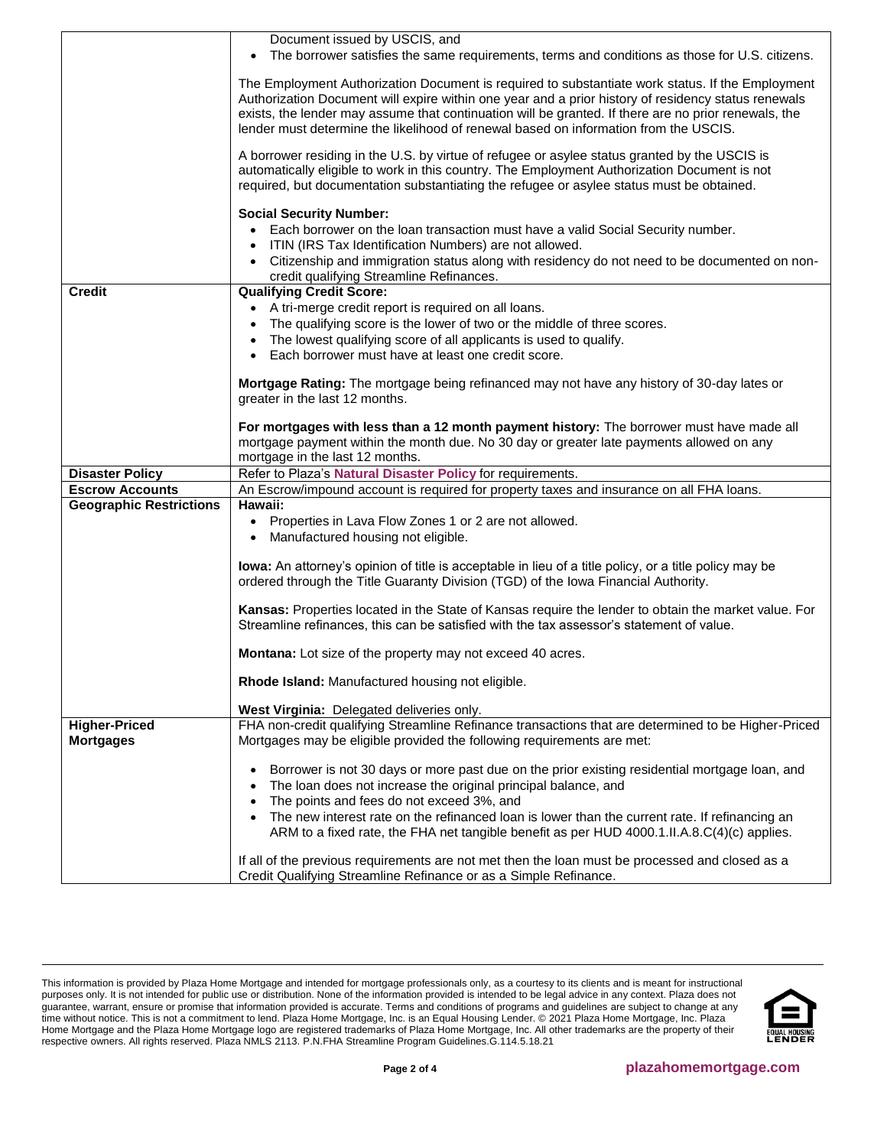|                                                  | Document issued by USCIS, and<br>The borrower satisfies the same requirements, terms and conditions as those for U.S. citizens.                                                                                                                                                                                                                                                                         |  |  |  |  |  |
|--------------------------------------------------|---------------------------------------------------------------------------------------------------------------------------------------------------------------------------------------------------------------------------------------------------------------------------------------------------------------------------------------------------------------------------------------------------------|--|--|--|--|--|
|                                                  | The Employment Authorization Document is required to substantiate work status. If the Employment<br>Authorization Document will expire within one year and a prior history of residency status renewals<br>exists, the lender may assume that continuation will be granted. If there are no prior renewals, the<br>lender must determine the likelihood of renewal based on information from the USCIS. |  |  |  |  |  |
|                                                  | A borrower residing in the U.S. by virtue of refugee or asylee status granted by the USCIS is<br>automatically eligible to work in this country. The Employment Authorization Document is not<br>required, but documentation substantiating the refugee or asylee status must be obtained.                                                                                                              |  |  |  |  |  |
|                                                  |                                                                                                                                                                                                                                                                                                                                                                                                         |  |  |  |  |  |
|                                                  | <b>Social Security Number:</b><br>Each borrower on the loan transaction must have a valid Social Security number.<br>ITIN (IRS Tax Identification Numbers) are not allowed.                                                                                                                                                                                                                             |  |  |  |  |  |
|                                                  | • Citizenship and immigration status along with residency do not need to be documented on non-<br>credit qualifying Streamline Refinances.                                                                                                                                                                                                                                                              |  |  |  |  |  |
| <b>Credit</b>                                    | <b>Qualifying Credit Score:</b>                                                                                                                                                                                                                                                                                                                                                                         |  |  |  |  |  |
|                                                  | • A tri-merge credit report is required on all loans.                                                                                                                                                                                                                                                                                                                                                   |  |  |  |  |  |
|                                                  | The qualifying score is the lower of two or the middle of three scores.                                                                                                                                                                                                                                                                                                                                 |  |  |  |  |  |
|                                                  | The lowest qualifying score of all applicants is used to qualify.<br>$\bullet$                                                                                                                                                                                                                                                                                                                          |  |  |  |  |  |
|                                                  | Each borrower must have at least one credit score.                                                                                                                                                                                                                                                                                                                                                      |  |  |  |  |  |
|                                                  |                                                                                                                                                                                                                                                                                                                                                                                                         |  |  |  |  |  |
|                                                  | Mortgage Rating: The mortgage being refinanced may not have any history of 30-day lates or                                                                                                                                                                                                                                                                                                              |  |  |  |  |  |
|                                                  | greater in the last 12 months.                                                                                                                                                                                                                                                                                                                                                                          |  |  |  |  |  |
|                                                  | For mortgages with less than a 12 month payment history: The borrower must have made all                                                                                                                                                                                                                                                                                                                |  |  |  |  |  |
|                                                  | mortgage payment within the month due. No 30 day or greater late payments allowed on any                                                                                                                                                                                                                                                                                                                |  |  |  |  |  |
|                                                  |                                                                                                                                                                                                                                                                                                                                                                                                         |  |  |  |  |  |
|                                                  |                                                                                                                                                                                                                                                                                                                                                                                                         |  |  |  |  |  |
|                                                  | mortgage in the last 12 months.                                                                                                                                                                                                                                                                                                                                                                         |  |  |  |  |  |
| <b>Disaster Policy</b><br><b>Escrow Accounts</b> | Refer to Plaza's Natural Disaster Policy for requirements.                                                                                                                                                                                                                                                                                                                                              |  |  |  |  |  |
| <b>Geographic Restrictions</b>                   | An Escrow/impound account is required for property taxes and insurance on all FHA loans.<br>Hawaii:                                                                                                                                                                                                                                                                                                     |  |  |  |  |  |
|                                                  | • Properties in Lava Flow Zones 1 or 2 are not allowed.                                                                                                                                                                                                                                                                                                                                                 |  |  |  |  |  |
|                                                  | Manufactured housing not eligible.                                                                                                                                                                                                                                                                                                                                                                      |  |  |  |  |  |
|                                                  | lowa: An attorney's opinion of title is acceptable in lieu of a title policy, or a title policy may be<br>ordered through the Title Guaranty Division (TGD) of the lowa Financial Authority.                                                                                                                                                                                                            |  |  |  |  |  |
|                                                  | Kansas: Properties located in the State of Kansas require the lender to obtain the market value. For<br>Streamline refinances, this can be satisfied with the tax assessor's statement of value.                                                                                                                                                                                                        |  |  |  |  |  |
|                                                  | <b>Montana:</b> Lot size of the property may not exceed 40 acres.                                                                                                                                                                                                                                                                                                                                       |  |  |  |  |  |
|                                                  | Rhode Island: Manufactured housing not eligible.                                                                                                                                                                                                                                                                                                                                                        |  |  |  |  |  |
|                                                  |                                                                                                                                                                                                                                                                                                                                                                                                         |  |  |  |  |  |
|                                                  | West Virginia: Delegated deliveries only.                                                                                                                                                                                                                                                                                                                                                               |  |  |  |  |  |
| <b>Higher-Priced</b>                             | FHA non-credit qualifying Streamline Refinance transactions that are determined to be Higher-Priced                                                                                                                                                                                                                                                                                                     |  |  |  |  |  |
| <b>Mortgages</b>                                 | Mortgages may be eligible provided the following requirements are met:                                                                                                                                                                                                                                                                                                                                  |  |  |  |  |  |
|                                                  | Borrower is not 30 days or more past due on the prior existing residential mortgage loan, and                                                                                                                                                                                                                                                                                                           |  |  |  |  |  |
|                                                  | The loan does not increase the original principal balance, and                                                                                                                                                                                                                                                                                                                                          |  |  |  |  |  |
|                                                  | The points and fees do not exceed 3%, and                                                                                                                                                                                                                                                                                                                                                               |  |  |  |  |  |
|                                                  | The new interest rate on the refinanced loan is lower than the current rate. If refinancing an<br>$\bullet$                                                                                                                                                                                                                                                                                             |  |  |  |  |  |
|                                                  | ARM to a fixed rate, the FHA net tangible benefit as per HUD 4000.1.II.A.8.C(4)(c) applies.                                                                                                                                                                                                                                                                                                             |  |  |  |  |  |

This information is provided by Plaza Home Mortgage and intended for mortgage professionals only, as a courtesy to its clients and is meant for instructional purposes only. It is not intended for public use or distribution. None of the information provided is intended to be legal advice in any context. Plaza does not guarantee, warrant, ensure or promise that information provided is accurate. Terms and conditions of programs and guidelines are subject to change at any time without notice. This is not a commitment to lend. Plaza Home Mortgage, Inc. is an Equal Housing Lender. © 2021 Plaza Home Mortgage, Inc. Plaza Home Mortgage and the Plaza Home Mortgage logo are registered trademarks of Plaza Home Mortgage, Inc. All other trademarks are the property of their respective owners. All rights reserved. Plaza NMLS 2113. P.N.FHA Streamline Program Guidelines.G.114.5.18.21

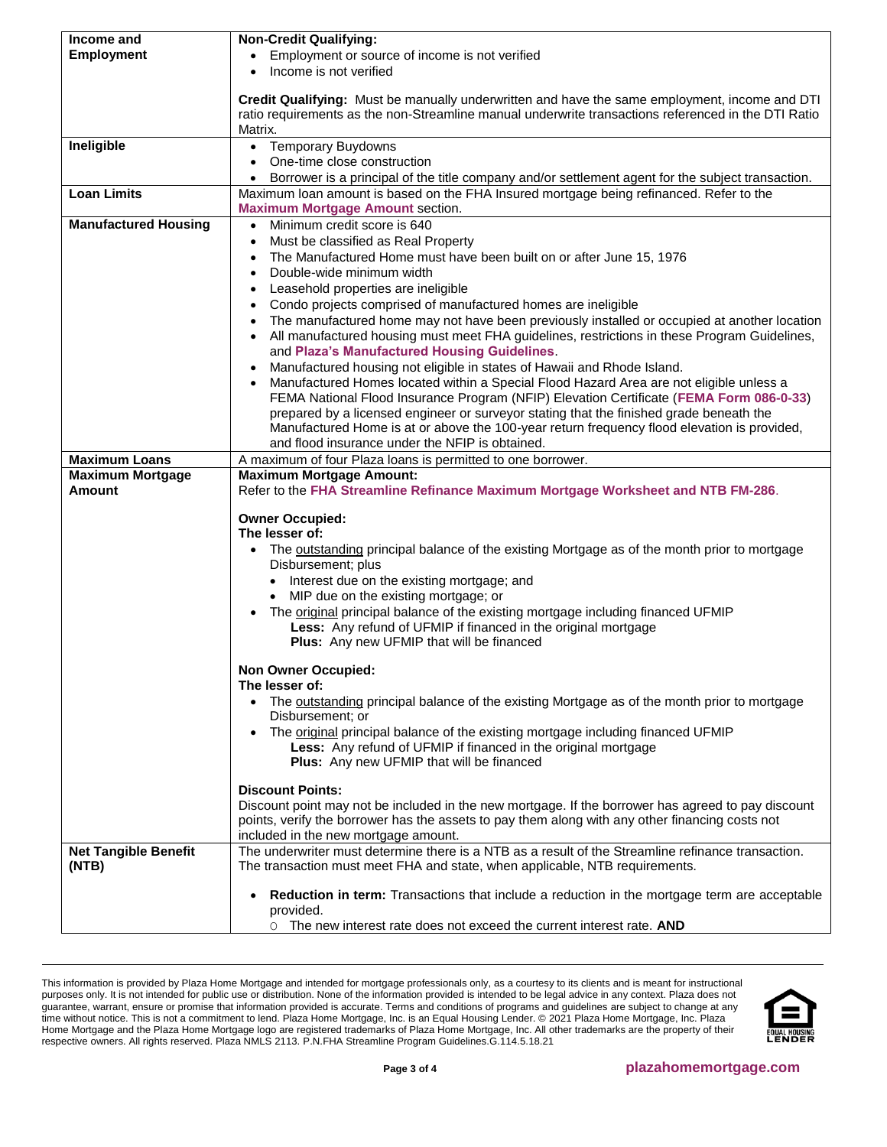<span id="page-2-0"></span>

| Income and                                | <b>Non-Credit Qualifying:</b>                                                                                                                                                                         |  |  |  |  |
|-------------------------------------------|-------------------------------------------------------------------------------------------------------------------------------------------------------------------------------------------------------|--|--|--|--|
| <b>Employment</b>                         | Employment or source of income is not verified                                                                                                                                                        |  |  |  |  |
|                                           | Income is not verified                                                                                                                                                                                |  |  |  |  |
|                                           |                                                                                                                                                                                                       |  |  |  |  |
|                                           | Credit Qualifying: Must be manually underwritten and have the same employment, income and DTI                                                                                                         |  |  |  |  |
|                                           | ratio requirements as the non-Streamline manual underwrite transactions referenced in the DTI Ratio                                                                                                   |  |  |  |  |
|                                           | Matrix.                                                                                                                                                                                               |  |  |  |  |
| Ineligible                                | • Temporary Buydowns                                                                                                                                                                                  |  |  |  |  |
|                                           | One-time close construction                                                                                                                                                                           |  |  |  |  |
|                                           | Borrower is a principal of the title company and/or settlement agent for the subject transaction.                                                                                                     |  |  |  |  |
| <b>Loan Limits</b>                        | Maximum loan amount is based on the FHA Insured mortgage being refinanced. Refer to the                                                                                                               |  |  |  |  |
|                                           | <b>Maximum Mortgage Amount section.</b>                                                                                                                                                               |  |  |  |  |
| <b>Manufactured Housing</b>               | Minimum credit score is 640<br>$\bullet$                                                                                                                                                              |  |  |  |  |
|                                           | Must be classified as Real Property<br>$\bullet$                                                                                                                                                      |  |  |  |  |
|                                           | The Manufactured Home must have been built on or after June 15, 1976                                                                                                                                  |  |  |  |  |
|                                           | Double-wide minimum width<br>٠                                                                                                                                                                        |  |  |  |  |
|                                           | Leasehold properties are ineligible                                                                                                                                                                   |  |  |  |  |
|                                           | Condo projects comprised of manufactured homes are ineligible                                                                                                                                         |  |  |  |  |
|                                           | The manufactured home may not have been previously installed or occupied at another location<br>$\bullet$                                                                                             |  |  |  |  |
|                                           | All manufactured housing must meet FHA guidelines, restrictions in these Program Guidelines,<br>$\bullet$                                                                                             |  |  |  |  |
|                                           | and Plaza's Manufactured Housing Guidelines.                                                                                                                                                          |  |  |  |  |
|                                           | Manufactured housing not eligible in states of Hawaii and Rhode Island.                                                                                                                               |  |  |  |  |
|                                           | Manufactured Homes located within a Special Flood Hazard Area are not eligible unless a                                                                                                               |  |  |  |  |
|                                           |                                                                                                                                                                                                       |  |  |  |  |
|                                           | FEMA National Flood Insurance Program (NFIP) Elevation Certificate (FEMA Form 086-0-33)<br>prepared by a licensed engineer or surveyor stating that the finished grade beneath the                    |  |  |  |  |
|                                           |                                                                                                                                                                                                       |  |  |  |  |
|                                           | Manufactured Home is at or above the 100-year return frequency flood elevation is provided,<br>and flood insurance under the NFIP is obtained.                                                        |  |  |  |  |
|                                           |                                                                                                                                                                                                       |  |  |  |  |
| <b>Maximum Loans</b>                      | A maximum of four Plaza loans is permitted to one borrower.                                                                                                                                           |  |  |  |  |
| <b>Maximum Mortgage</b><br>Amount         | <b>Maximum Mortgage Amount:</b>                                                                                                                                                                       |  |  |  |  |
|                                           | Refer to the FHA Streamline Refinance Maximum Mortgage Worksheet and NTB FM-286.                                                                                                                      |  |  |  |  |
|                                           | <b>Owner Occupied:</b>                                                                                                                                                                                |  |  |  |  |
|                                           | The lesser of:                                                                                                                                                                                        |  |  |  |  |
|                                           | The outstanding principal balance of the existing Mortgage as of the month prior to mortgage                                                                                                          |  |  |  |  |
|                                           | Disbursement; plus                                                                                                                                                                                    |  |  |  |  |
|                                           | Interest due on the existing mortgage; and                                                                                                                                                            |  |  |  |  |
|                                           | • MIP due on the existing mortgage; or                                                                                                                                                                |  |  |  |  |
|                                           | The original principal balance of the existing mortgage including financed UFMIP<br>$\bullet$<br>Less: Any refund of UFMIP if financed in the original mortgage                                       |  |  |  |  |
|                                           |                                                                                                                                                                                                       |  |  |  |  |
|                                           | Plus: Any new UFMIP that will be financed                                                                                                                                                             |  |  |  |  |
|                                           |                                                                                                                                                                                                       |  |  |  |  |
|                                           | <b>Non Owner Occupied:</b>                                                                                                                                                                            |  |  |  |  |
|                                           | The lesser of:                                                                                                                                                                                        |  |  |  |  |
|                                           | The <u>outstanding</u> principal balance of the existing Mortgage as of the month prior to mortgage<br>$\bullet$                                                                                      |  |  |  |  |
|                                           | Disbursement; or                                                                                                                                                                                      |  |  |  |  |
|                                           | The <b>original</b> principal balance of the existing mortgage including financed UFMIP<br>$\bullet$<br>Less: Any refund of UFMIP if financed in the original mortgage                                |  |  |  |  |
|                                           |                                                                                                                                                                                                       |  |  |  |  |
| Plus: Any new UFMIP that will be financed |                                                                                                                                                                                                       |  |  |  |  |
|                                           |                                                                                                                                                                                                       |  |  |  |  |
|                                           | <b>Discount Points:</b>                                                                                                                                                                               |  |  |  |  |
|                                           | Discount point may not be included in the new mortgage. If the borrower has agreed to pay discount<br>points, verify the borrower has the assets to pay them along with any other financing costs not |  |  |  |  |
|                                           |                                                                                                                                                                                                       |  |  |  |  |
|                                           | included in the new mortgage amount.                                                                                                                                                                  |  |  |  |  |
| <b>Net Tangible Benefit</b>               | The underwriter must determine there is a NTB as a result of the Streamline refinance transaction.                                                                                                    |  |  |  |  |
| (NTB)                                     | The transaction must meet FHA and state, when applicable, NTB requirements.                                                                                                                           |  |  |  |  |
|                                           |                                                                                                                                                                                                       |  |  |  |  |
|                                           | Reduction in term: Transactions that include a reduction in the mortgage term are acceptable<br>٠                                                                                                     |  |  |  |  |
|                                           | provided.                                                                                                                                                                                             |  |  |  |  |
|                                           | O The new interest rate does not exceed the current interest rate. AND                                                                                                                                |  |  |  |  |

This information is provided by Plaza Home Mortgage and intended for mortgage professionals only, as a courtesy to its clients and is meant for instructional purposes only. It is not intended for public use or distribution. None of the information provided is intended to be legal advice in any context. Plaza does not guarantee, warrant, ensure or promise that information provided is accurate. Terms and conditions of programs and guidelines are subject to change at any time without notice. This is not a commitment to lend. Plaza Home Mortgage, Inc. is an Equal Housing Lender. © 2021 Plaza Home Mortgage, Inc. Plaza Home Mortgage and the Plaza Home Mortgage logo are registered trademarks of Plaza Home Mortgage, Inc. All other trademarks are the property of their respective owners. All rights reserved. Plaza NMLS 2113. P.N.FHA Streamline Program Guidelines.G.114.5.18.21